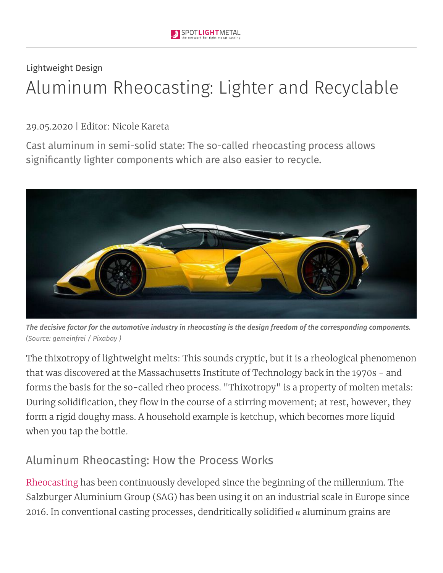# Lightweight Design Aluminum Rheocasting: Lighter and Recyclable

#### 29.05.2020 | Editor: Nicole Kareta

Cast aluminum in semi-solid state: The so-called rheocasting process allows significantly lighter components which are also easier to recycle.



The decisive factor for the automotive industry in rheocasting is the design freedom of the corresponding components. *(Source: gemeinfrei / [Pixabay](https://www.spotlightmetal.com/redirect/935721/aHR0cHM6Ly9waXhhYmF5LmNvbS9kZS9zZXJ2aWNlL3Rlcm1zLyNsaWNlbnNl/7b80b28b9bb7031c9db47379d60096a9d1e7dccee9a5b48e27c09c8f/article/) )*

The thixotropy of lightweight melts: This sounds cryptic, but it is a rheological phenomenon that was discovered at the Massachusetts Institute of Technology back in the 1970s - and forms the basis for the so-called rheo process. "Thixotropy" is a property of molten metals: During solidification, they flow in the course of a stirring movement; at rest, however, they form a rigid doughy mass. A household example is ketchup, which becomes more liquid when you tap the bottle.

#### Aluminum Rheocasting: How the Process Works

[Rheocasting](https://www.spotlightmetal.com/redirect/935721/aHR0cHM6Ly93d3cuc3BvdGxpZ2h0bWV0YWwuY29tL3RoZS1jb21tZXJjaWFsLWJyZWFrdGhyb3VnaC1vZi1yaGVvY2FzdGluZy1hLTgwMTgyMC8%3D/76b5513b41ce4bb67d2d57826e5a92efb2000cee0d86f06ba41bbad4/article/) has been continuously developed since the beginning of the millennium. The Salzburger Aluminium Group (SAG) has been using it on an industrial scale in Europe since 2016. In conventional casting processes, dendritically solidified  $\alpha$  aluminum grains are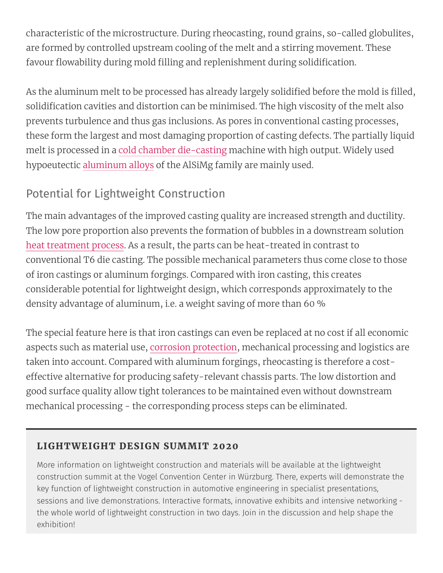characteristic of the microstructure. During rheocasting, round grains, so-called globulites, are formed by controlled upstream cooling of the melt and a stirring movement. These favour flowability during mold filling and replenishment during solidification.

As the aluminum melt to be processed has already largely solidified before the mold is filled, solidification cavities and distortion can be minimised. The high viscosity of the melt also prevents turbulence and thus gas inclusions. As pores in conventional casting processes, these form the largest and most damaging proportion of casting defects. The partially liquid melt is processed in a cold chamber [die-casting](https://www.spotlightmetal.com/redirect/935721/aHR0cHM6Ly93d3cuc3BvdGxpZ2h0bWV0YWwuY29tL3BhcnQtMi0taG90LWFuZC1jb2xkLWNoYW1iZXItZGllLWNhc3RpbmctYS04OTc2OTIv/6d9cd983d92d806f53852ec8cf17c2b39380d1a766a5d51f6343e48c/article/) machine with high output. Widely used hypoeutectic [aluminum](https://www.spotlightmetal.com/redirect/935721/aHR0cHM6Ly93d3cuc3BvdGxpZ2h0bWV0YWwuY29tL2xpZ2h0LW1ldGFsLWFsbG95cy1zcG90bGlnaHQtYWx1bWludW0tYS04NzUyNzEv/c414100872d9ebcda5a39f74db2d644ff802090d78076a74708be163/article/) alloys of the AlSiMg family are mainly used.

### Potential for Lightweight Construction

The main advantages of the improved casting quality are increased strength and ductility. The low pore proportion also prevents the formation of bubbles in a downstream solution heat [treatment](https://www.spotlightmetal.com/redirect/935721/aHR0cHM6Ly93d3cuc3BvdGxpZ2h0bWV0YWwuY29tL3JlYWNoaW5nLW9wdGltdW0tcHJvcGVydGllcy1oZWF0LWFuZC1zdXJmYWNlLXRyZWF0bWVudC1pbi10aGUtZGllLWNhc3RpbmctaW5kdXN0cnktYS02Njk4ODIv/48caa50cb07b138e780f80cdb781fe4a8060e0522d05b0d42c3b3e00/article/) process. As a result, the parts can be heat-treated in contrast to conventional T6 die casting. The possible mechanical parameters thus come close to those of iron castings or aluminum forgings. Compared with iron casting, this creates considerable potential for lightweight design, which corresponds approximately to the density advantage of aluminum, i.e. a weight saving of more than 60 %

The special feature here is that iron castings can even be replaced at no cost if all economic aspects such as material use, corrosion [protection,](https://www.spotlightmetal.com/redirect/935721/aHR0cHM6Ly93d3cuc3BvdGxpZ2h0bWV0YWwuY29tL3ppbmMtZm9yLWNvcnJvc2lvbi1wcm90ZWN0aW9uLWEtOTMxNTYzLw%3D%3D/d582bfaf51940a351302d808c13fd8a8e6a7ccfc03ee83923cf98236/article/) mechanical processing and logistics are taken into account. Compared with aluminum forgings, rheocasting is therefore a costeffective alternative for producing safety-relevant chassis parts. The low distortion and good surface quality allow tight tolerances to be maintained even without downstream mechanical processing - the corresponding process steps can be eliminated.

#### LIGHTWEIGHT DESIGN SUMMIT 2020

More information on lightweight construction and materials will be available at the lightweight construction summit at the Vogel Convention Center in Würzburg. There, experts will demonstrate the key function of lightweight construction in automotive engineering in specialist presentations, sessions and live demonstrations. Interactive formats, innovative exhibits and intensive networking the whole world of lightweight construction in two days. Join in the discussion and help shape the exhibition!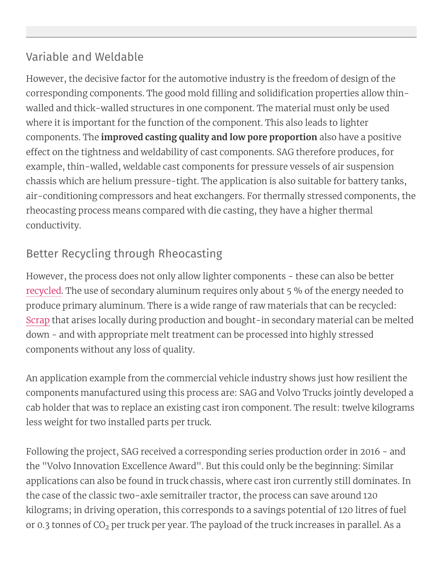### Variable and Weldable

However, the decisive factor for the automotive industry is the freedom of design of the corresponding components. The good mold filling and solidification properties allow thinwalled and thick-walled structures in one component. The material must only be used where it is important for the function of the component. This also leads to lighter components. The **improved casting quality and low pore proportion** also have a positive effect on the tightness and weldability of cast components. SAG therefore produces, for example, thin-walled, weldable cast components for pressure vessels of air suspension chassis which are helium pressure-tight. The application is also suitable for battery tanks, air-conditioning compressors and heat exchangers. For thermally stressed components, the rheocasting process means compared with die casting, they have a higher thermal conductivity.

## Better Recycling through Rheocasting

However, the process does not only allow lighter components - these can also be better [recycled.](https://www.spotlightmetal.com/redirect/935721/aHR0cHM6Ly93d3cuc3BvdGxpZ2h0bWV0YWwuY29tL3RyZW5kcy1pbi1hbHVtaW51bS1yZWN5Y2xpbmctYS04MDI3MDMv/0ebcdc12e63e5a2d3f038cbe149892845c8ddced34a36aaf93853d03/article/) The use of secondary aluminum requires only about 5 % of the energy needed to produce primary aluminum. There is a wide range of raw materials that can be recycled: [Scrap](https://www.spotlightmetal.com/redirect/935721/aHR0cHM6Ly93d3cuc3BvdGxpZ2h0bWV0YWwuY29tL21hcmtldHMtZm9yLXN0ZWVsLWFuZC1hbHVtaW51bS1zY3JhcC1hLTc4OTg4My8%3D/5b3c9b97f4d77f879db2583d222db76ff34173bd1ca1377620973b7f/article/) that arises locally during production and bought-in secondary material can be melted down - and with appropriate melt treatment can be processed into highly stressed components without any loss of quality.

An application example from the commercial vehicle industry shows just how resilient the components manufactured using this process are: SAG and Volvo Trucks jointly developed a cab holder that was to replace an existing cast iron component. The result: twelve kilograms less weight for two installed parts per truck.

Following the project, SAG received a corresponding series production order in 2016 - and the "Volvo Innovation Excellence Award". But this could only be the beginning: Similar applications can also be found in truck chassis, where cast iron currently still dominates. In the case of the classic two-axle semitrailer tractor, the process can save around 120 kilograms; in driving operation, this corresponds to a savings potential of 120 litres of fuel or 0.3 tonnes of  $CO<sub>2</sub>$  per truck per year. The payload of the truck increases in parallel. As a